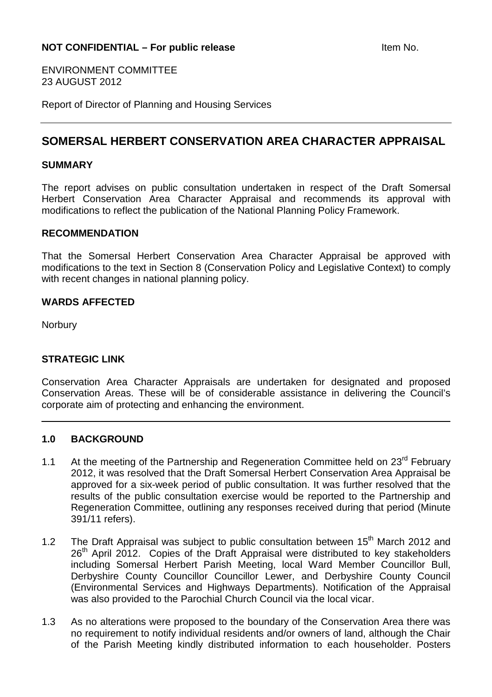ENVIRONMENT COMMITTEE 23 AUGUST 2012

Report of Director of Planning and Housing Services

# **SOMERSAL HERBERT CONSERVATION AREA CHARACTER APPRAISAL**

#### **SUMMARY**

The report advises on public consultation undertaken in respect of the Draft Somersal Herbert Conservation Area Character Appraisal and recommends its approval with modifications to reflect the publication of the National Planning Policy Framework.

#### **RECOMMENDATION**

That the Somersal Herbert Conservation Area Character Appraisal be approved with modifications to the text in Section 8 (Conservation Policy and Legislative Context) to comply with recent changes in national planning policy.

## **WARDS AFFECTED**

**Norbury** 

## **STRATEGIC LINK**

Conservation Area Character Appraisals are undertaken for designated and proposed Conservation Areas. These will be of considerable assistance in delivering the Council's corporate aim of protecting and enhancing the environment.

## **1.0 BACKGROUND**

- 1.1 At the meeting of the Partnership and Regeneration Committee held on 23<sup>rd</sup> February 2012, it was resolved that the Draft Somersal Herbert Conservation Area Appraisal be approved for a six-week period of public consultation. It was further resolved that the results of the public consultation exercise would be reported to the Partnership and Regeneration Committee, outlining any responses received during that period (Minute 391/11 refers).
- 1.2 The Draft Appraisal was subject to public consultation between 15<sup>th</sup> March 2012 and 26<sup>th</sup> April 2012. Copies of the Draft Appraisal were distributed to key stakeholders including Somersal Herbert Parish Meeting, local Ward Member Councillor Bull, Derbyshire County Councillor Councillor Lewer, and Derbyshire County Council (Environmental Services and Highways Departments). Notification of the Appraisal was also provided to the Parochial Church Council via the local vicar.
- 1.3 As no alterations were proposed to the boundary of the Conservation Area there was no requirement to notify individual residents and/or owners of land, although the Chair of the Parish Meeting kindly distributed information to each householder. Posters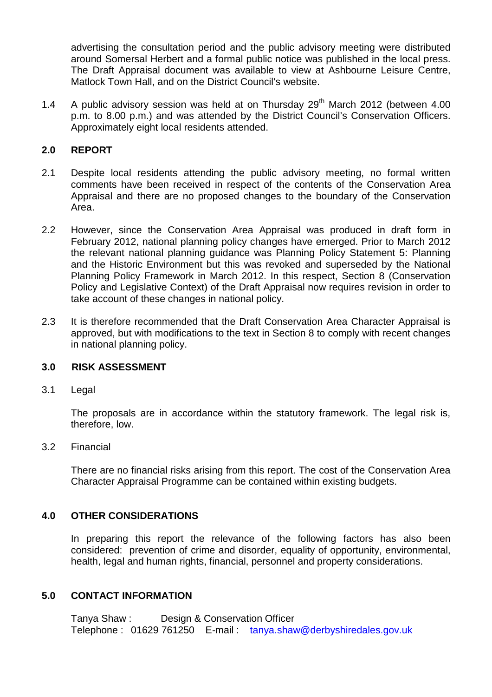advertising the consultation period and the public advisory meeting were distributed around Somersal Herbert and a formal public notice was published in the local press. The Draft Appraisal document was available to view at Ashbourne Leisure Centre, Matlock Town Hall, and on the District Council's website.

1.4 A public advisory session was held at on Thursday  $29<sup>th</sup>$  March 2012 (between 4.00 p.m. to 8.00 p.m.) and was attended by the District Council's Conservation Officers. Approximately eight local residents attended.

## **2.0 REPORT**

- 2.1 Despite local residents attending the public advisory meeting, no formal written comments have been received in respect of the contents of the Conservation Area Appraisal and there are no proposed changes to the boundary of the Conservation Area.
- 2.2 However, since the Conservation Area Appraisal was produced in draft form in February 2012, national planning policy changes have emerged. Prior to March 2012 the relevant national planning guidance was Planning Policy Statement 5: Planning and the Historic Environment but this was revoked and superseded by the National Planning Policy Framework in March 2012. In this respect, Section 8 (Conservation Policy and Legislative Context) of the Draft Appraisal now requires revision in order to take account of these changes in national policy.
- 2.3 It is therefore recommended that the Draft Conservation Area Character Appraisal is approved, but with modifications to the text in Section 8 to comply with recent changes in national planning policy.

### **3.0 RISK ASSESSMENT**

3.1 Legal

The proposals are in accordance within the statutory framework. The legal risk is, therefore, low.

#### 3.2 Financial

There are no financial risks arising from this report. The cost of the Conservation Area Character Appraisal Programme can be contained within existing budgets.

#### **4.0 OTHER CONSIDERATIONS**

In preparing this report the relevance of the following factors has also been considered: prevention of crime and disorder, equality of opportunity, environmental, health, legal and human rights, financial, personnel and property considerations.

#### **5.0 CONTACT INFORMATION**

Tanya Shaw : Design & Conservation Officer Telephone : 01629 761250 E-mail : tanya.shaw@derbyshiredales.gov.uk